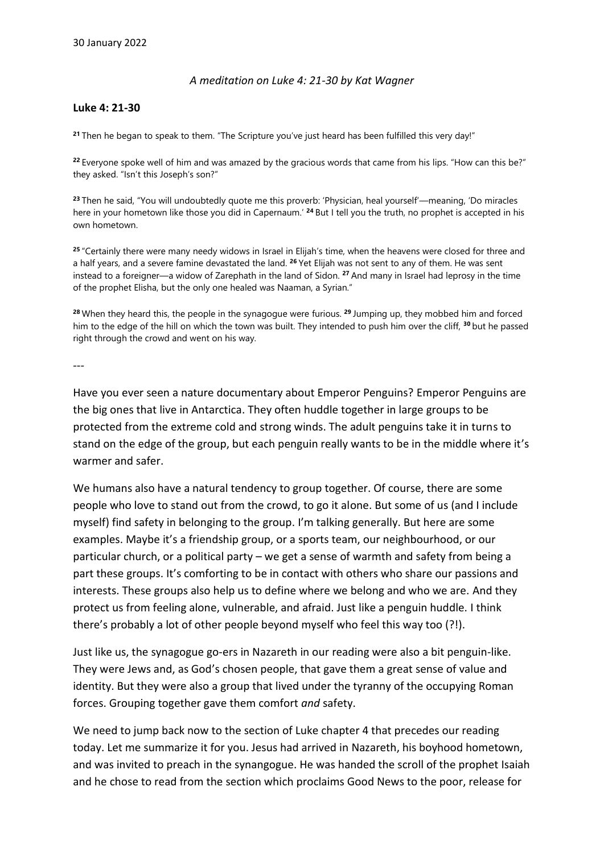## *A meditation on Luke 4: 21-30 by Kat Wagner*

## **Luke 4: 21-30**

**<sup>21</sup>** Then he began to speak to them. "The Scripture you've just heard has been fulfilled this very day!"

**<sup>22</sup>** Everyone spoke well of him and was amazed by the gracious words that came from his lips. "How can this be?" they asked. "Isn't this Joseph's son?"

**<sup>23</sup>** Then he said, "You will undoubtedly quote me this proverb: 'Physician, heal yourself'—meaning, 'Do miracles here in your hometown like those you did in Capernaum.' **<sup>24</sup>** But I tell you the truth, no prophet is accepted in his own hometown.

**<sup>25</sup>** "Certainly there were many needy widows in Israel in Elijah's time, when the heavens were closed for three and a half years, and a severe famine devastated the land. **<sup>26</sup>** Yet Elijah was not sent to any of them. He was sent instead to a foreigner—a widow of Zarephath in the land of Sidon. **<sup>27</sup>** And many in Israel had leprosy in the time of the prophet Elisha, but the only one healed was Naaman, a Syrian."

**<sup>28</sup>** When they heard this, the people in the synagogue were furious. **<sup>29</sup>** Jumping up, they mobbed him and forced him to the edge of the hill on which the town was built. They intended to push him over the cliff, **<sup>30</sup>** but he passed right through the crowd and went on his way.

---

Have you ever seen a nature documentary about Emperor Penguins? Emperor Penguins are the big ones that live in Antarctica. They often huddle together in large groups to be protected from the extreme cold and strong winds. The adult penguins take it in turns to stand on the edge of the group, but each penguin really wants to be in the middle where it's warmer and safer.

We humans also have a natural tendency to group together. Of course, there are some people who love to stand out from the crowd, to go it alone. But some of us (and I include myself) find safety in belonging to the group. I'm talking generally. But here are some examples. Maybe it's a friendship group, or a sports team, our neighbourhood, or our particular church, or a political party – we get a sense of warmth and safety from being a part these groups. It's comforting to be in contact with others who share our passions and interests. These groups also help us to define where we belong and who we are. And they protect us from feeling alone, vulnerable, and afraid. Just like a penguin huddle. I think there's probably a lot of other people beyond myself who feel this way too (?!).

Just like us, the synagogue go-ers in Nazareth in our reading were also a bit penguin-like. They were Jews and, as God's chosen people, that gave them a great sense of value and identity. But they were also a group that lived under the tyranny of the occupying Roman forces. Grouping together gave them comfort *and* safety.

We need to jump back now to the section of Luke chapter 4 that precedes our reading today. Let me summarize it for you. Jesus had arrived in Nazareth, his boyhood hometown, and was invited to preach in the synangogue. He was handed the scroll of the prophet Isaiah and he chose to read from the section which proclaims Good News to the poor, release for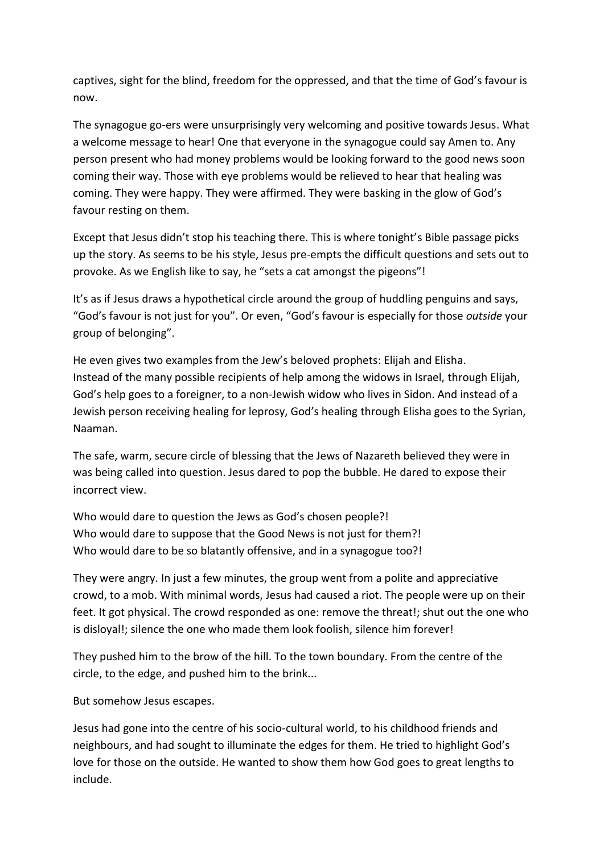captives, sight for the blind, freedom for the oppressed, and that the time of God's favour is now.

The synagogue go-ers were unsurprisingly very welcoming and positive towards Jesus. What a welcome message to hear! One that everyone in the synagogue could say Amen to. Any person present who had money problems would be looking forward to the good news soon coming their way. Those with eye problems would be relieved to hear that healing was coming. They were happy. They were affirmed. They were basking in the glow of God's favour resting on them.

Except that Jesus didn't stop his teaching there. This is where tonight's Bible passage picks up the story. As seems to be his style, Jesus pre-empts the difficult questions and sets out to provoke. As we English like to say, he "sets a cat amongst the pigeons"!

It's as if Jesus draws a hypothetical circle around the group of huddling penguins and says, "God's favour is not just for you". Or even, "God's favour is especially for those *outside* your group of belonging".

He even gives two examples from the Jew's beloved prophets: Elijah and Elisha. Instead of the many possible recipients of help among the widows in Israel, through Elijah, God's help goes to a foreigner, to a non-Jewish widow who lives in Sidon. And instead of a Jewish person receiving healing for leprosy, God's healing through Elisha goes to the Syrian, Naaman.

The safe, warm, secure circle of blessing that the Jews of Nazareth believed they were in was being called into question. Jesus dared to pop the bubble. He dared to expose their incorrect view.

Who would dare to question the Jews as God's chosen people?! Who would dare to suppose that the Good News is not just for them?! Who would dare to be so blatantly offensive, and in a synagogue too?!

They were angry. In just a few minutes, the group went from a polite and appreciative crowd, to a mob. With minimal words, Jesus had caused a riot. The people were up on their feet. It got physical. The crowd responded as one: remove the threat!; shut out the one who is disloyal!; silence the one who made them look foolish, silence him forever!

They pushed him to the brow of the hill. To the town boundary. From the centre of the circle, to the edge, and pushed him to the brink...

But somehow Jesus escapes.

Jesus had gone into the centre of his socio-cultural world, to his childhood friends and neighbours, and had sought to illuminate the edges for them. He tried to highlight God's love for those on the outside. He wanted to show them how God goes to great lengths to include.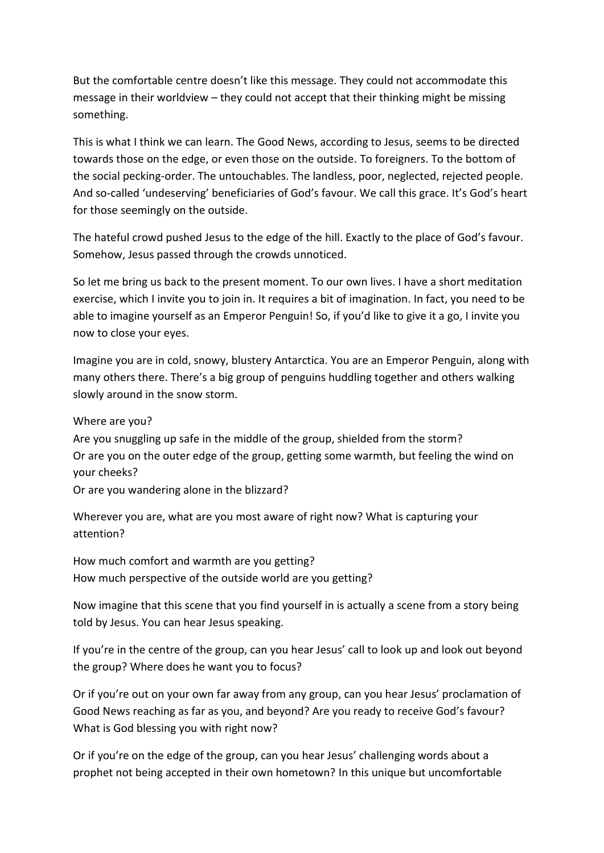But the comfortable centre doesn't like this message. They could not accommodate this message in their worldview – they could not accept that their thinking might be missing something.

This is what I think we can learn. The Good News, according to Jesus, seems to be directed towards those on the edge, or even those on the outside. To foreigners. To the bottom of the social pecking-order. The untouchables. The landless, poor, neglected, rejected people. And so-called 'undeserving' beneficiaries of God's favour. We call this grace. It's God's heart for those seemingly on the outside.

The hateful crowd pushed Jesus to the edge of the hill. Exactly to the place of God's favour. Somehow, Jesus passed through the crowds unnoticed.

So let me bring us back to the present moment. To our own lives. I have a short meditation exercise, which I invite you to join in. It requires a bit of imagination. In fact, you need to be able to imagine yourself as an Emperor Penguin! So, if you'd like to give it a go, I invite you now to close your eyes.

Imagine you are in cold, snowy, blustery Antarctica. You are an Emperor Penguin, along with many others there. There's a big group of penguins huddling together and others walking slowly around in the snow storm.

Where are you?

Are you snuggling up safe in the middle of the group, shielded from the storm? Or are you on the outer edge of the group, getting some warmth, but feeling the wind on your cheeks?

Or are you wandering alone in the blizzard?

Wherever you are, what are you most aware of right now? What is capturing your attention?

How much comfort and warmth are you getting? How much perspective of the outside world are you getting?

Now imagine that this scene that you find yourself in is actually a scene from a story being told by Jesus. You can hear Jesus speaking.

If you're in the centre of the group, can you hear Jesus' call to look up and look out beyond the group? Where does he want you to focus?

Or if you're out on your own far away from any group, can you hear Jesus' proclamation of Good News reaching as far as you, and beyond? Are you ready to receive God's favour? What is God blessing you with right now?

Or if you're on the edge of the group, can you hear Jesus' challenging words about a prophet not being accepted in their own hometown? In this unique but uncomfortable